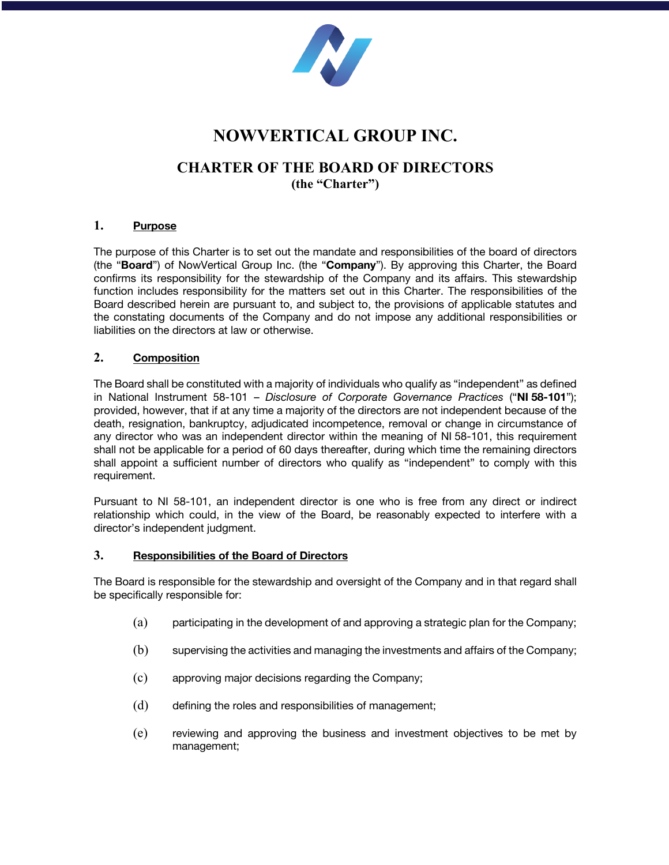

# **NOWVERTICAL GROUP INC.**

## **CHARTER OF THE BOARD OF DIRECTORS (the "Charter")**

#### **1. Purpose**

The purpose of this Charter is to set out the mandate and responsibilities of the board of directors (the "**Board**") of NowVertical Group Inc. (the "**Company**"). By approving this Charter, the Board confirms its responsibility for the stewardship of the Company and its affairs. This stewardship function includes responsibility for the matters set out in this Charter. The responsibilities of the Board described herein are pursuant to, and subject to, the provisions of applicable statutes and the constating documents of the Company and do not impose any additional responsibilities or liabilities on the directors at law or otherwise.

#### **2. Composition**

The Board shall be constituted with a majority of individuals who qualify as "independent" as defined in National Instrument 58-101 – *Disclosure of Corporate Governance Practices* ("**NI 58-101**"); provided, however, that if at any time a majority of the directors are not independent because of the death, resignation, bankruptcy, adjudicated incompetence, removal or change in circumstance of any director who was an independent director within the meaning of NI 58-101, this requirement shall not be applicable for a period of 60 days thereafter, during which time the remaining directors shall appoint a sufficient number of directors who qualify as "independent" to comply with this requirement.

Pursuant to NI 58-101, an independent director is one who is free from any direct or indirect relationship which could, in the view of the Board, be reasonably expected to interfere with a director's independent judgment.

#### **3. Responsibilities of the Board of Directors**

The Board is responsible for the stewardship and oversight of the Company and in that regard shall be specifically responsible for:

- (a) participating in the development of and approving a strategic plan for the Company;
- (b) supervising the activities and managing the investments and affairs of the Company;
- (c) approving major decisions regarding the Company;
- (d) defining the roles and responsibilities of management;
- (e) reviewing and approving the business and investment objectives to be met by management;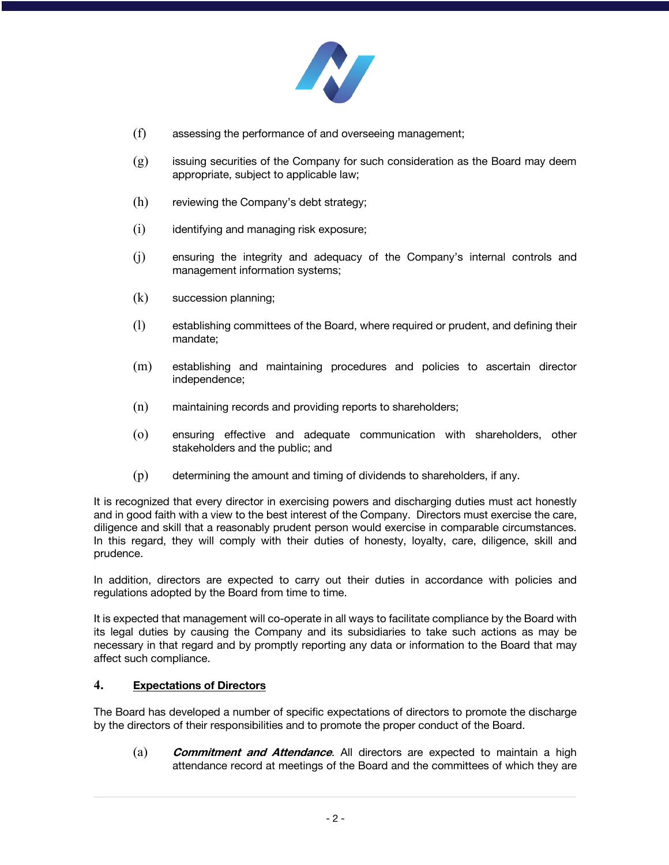

- (f) assessing the performance of and overseeing management;
- (g) issuing securities of the Company for such consideration as the Board may deem appropriate, subject to applicable law;
- (h) reviewing the Company's debt strategy;
- (i) identifying and managing risk exposure;
- (j) ensuring the integrity and adequacy of the Company's internal controls and management information systems;
- (k) succession planning;
- (l) establishing committees of the Board, where required or prudent, and defining their mandate;
- (m) establishing and maintaining procedures and policies to ascertain director independence;
- (n) maintaining records and providing reports to shareholders;
- (o) ensuring effective and adequate communication with shareholders, other stakeholders and the public; and
- (p) determining the amount and timing of dividends to shareholders, if any.

It is recognized that every director in exercising powers and discharging duties must act honestly and in good faith with a view to the best interest of the Company. Directors must exercise the care, diligence and skill that a reasonably prudent person would exercise in comparable circumstances. In this regard, they will comply with their duties of honesty, loyalty, care, diligence, skill and prudence.

In addition, directors are expected to carry out their duties in accordance with policies and regulations adopted by the Board from time to time.

It is expected that management will co-operate in all ways to facilitate compliance by the Board with its legal duties by causing the Company and its subsidiaries to take such actions as may be necessary in that regard and by promptly reporting any data or information to the Board that may affect such compliance.

#### **4. Expectations of Directors**

The Board has developed a number of specific expectations of directors to promote the discharge by the directors of their responsibilities and to promote the proper conduct of the Board.

(a) **Commitment and Attendance**. All directors are expected to maintain a high attendance record at meetings of the Board and the committees of which they are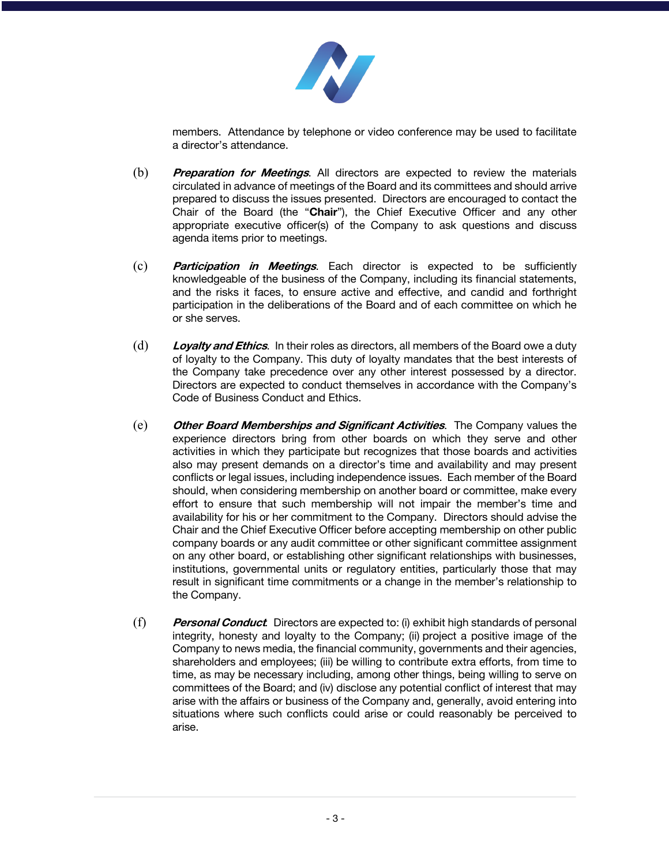

members. Attendance by telephone or video conference may be used to facilitate a director's attendance.

- (b) **Preparation for Meetings**. All directors are expected to review the materials circulated in advance of meetings of the Board and its committees and should arrive prepared to discuss the issues presented. Directors are encouraged to contact the Chair of the Board (the "**Chair**"), the Chief Executive Officer and any other appropriate executive officer(s) of the Company to ask questions and discuss agenda items prior to meetings.
- (c) **Participation in Meetings**. Each director is expected to be sufficiently knowledgeable of the business of the Company, including its financial statements, and the risks it faces, to ensure active and effective, and candid and forthright participation in the deliberations of the Board and of each committee on which he or she serves.
- (d) **Loyalty and Ethics**. In their roles as directors, all members of the Board owe a duty of loyalty to the Company. This duty of loyalty mandates that the best interests of the Company take precedence over any other interest possessed by a director. Directors are expected to conduct themselves in accordance with the Company's Code of Business Conduct and Ethics.
- (e) **Other Board Memberships and Significant Activities**. The Company values the experience directors bring from other boards on which they serve and other activities in which they participate but recognizes that those boards and activities also may present demands on a director's time and availability and may present conflicts or legal issues, including independence issues. Each member of the Board should, when considering membership on another board or committee, make every effort to ensure that such membership will not impair the member's time and availability for his or her commitment to the Company. Directors should advise the Chair and the Chief Executive Officer before accepting membership on other public company boards or any audit committee or other significant committee assignment on any other board, or establishing other significant relationships with businesses, institutions, governmental units or regulatory entities, particularly those that may result in significant time commitments or a change in the member's relationship to the Company.
- (f) **Personal Conduct***.* Directors are expected to: (i) exhibit high standards of personal integrity, honesty and loyalty to the Company; (ii) project a positive image of the Company to news media, the financial community, governments and their agencies, shareholders and employees; (iii) be willing to contribute extra efforts, from time to time, as may be necessary including, among other things, being willing to serve on committees of the Board; and (iv) disclose any potential conflict of interest that may arise with the affairs or business of the Company and, generally, avoid entering into situations where such conflicts could arise or could reasonably be perceived to arise.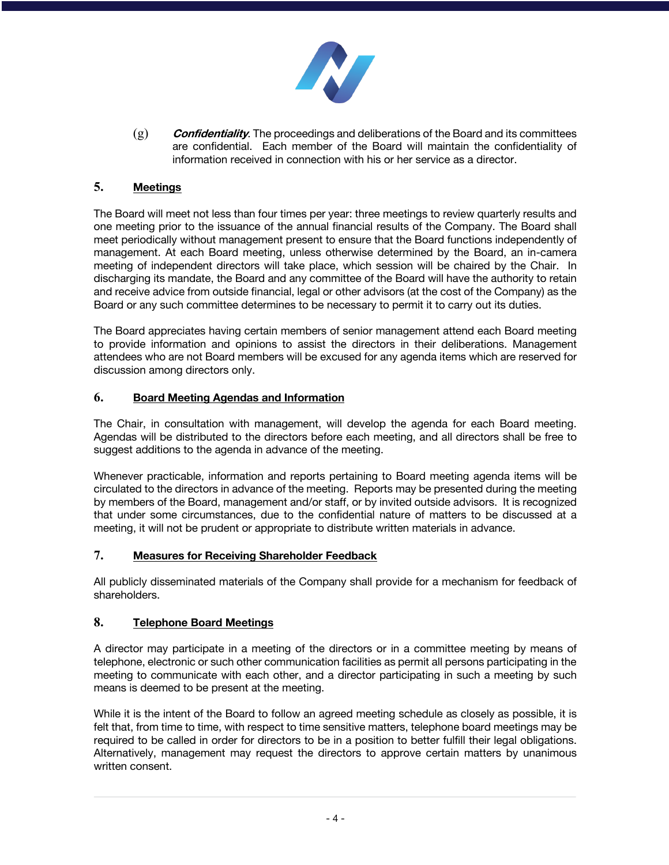

(g) **Confidentiality**. The proceedings and deliberations of the Board and its committees are confidential. Each member of the Board will maintain the confidentiality of information received in connection with his or her service as a director.

## **5. Meetings**

The Board will meet not less than four times per year: three meetings to review quarterly results and one meeting prior to the issuance of the annual financial results of the Company. The Board shall meet periodically without management present to ensure that the Board functions independently of management. At each Board meeting, unless otherwise determined by the Board, an in-camera meeting of independent directors will take place, which session will be chaired by the Chair. In discharging its mandate, the Board and any committee of the Board will have the authority to retain and receive advice from outside financial, legal or other advisors (at the cost of the Company) as the Board or any such committee determines to be necessary to permit it to carry out its duties.

The Board appreciates having certain members of senior management attend each Board meeting to provide information and opinions to assist the directors in their deliberations. Management attendees who are not Board members will be excused for any agenda items which are reserved for discussion among directors only.

#### **6. Board Meeting Agendas and Information**

The Chair, in consultation with management, will develop the agenda for each Board meeting. Agendas will be distributed to the directors before each meeting, and all directors shall be free to suggest additions to the agenda in advance of the meeting.

Whenever practicable, information and reports pertaining to Board meeting agenda items will be circulated to the directors in advance of the meeting. Reports may be presented during the meeting by members of the Board, management and/or staff, or by invited outside advisors. It is recognized that under some circumstances, due to the confidential nature of matters to be discussed at a meeting, it will not be prudent or appropriate to distribute written materials in advance.

## **7. Measures for Receiving Shareholder Feedback**

All publicly disseminated materials of the Company shall provide for a mechanism for feedback of shareholders.

## **8. Telephone Board Meetings**

A director may participate in a meeting of the directors or in a committee meeting by means of telephone, electronic or such other communication facilities as permit all persons participating in the meeting to communicate with each other, and a director participating in such a meeting by such means is deemed to be present at the meeting.

While it is the intent of the Board to follow an agreed meeting schedule as closely as possible, it is felt that, from time to time, with respect to time sensitive matters, telephone board meetings may be required to be called in order for directors to be in a position to better fulfill their legal obligations. Alternatively, management may request the directors to approve certain matters by unanimous written consent.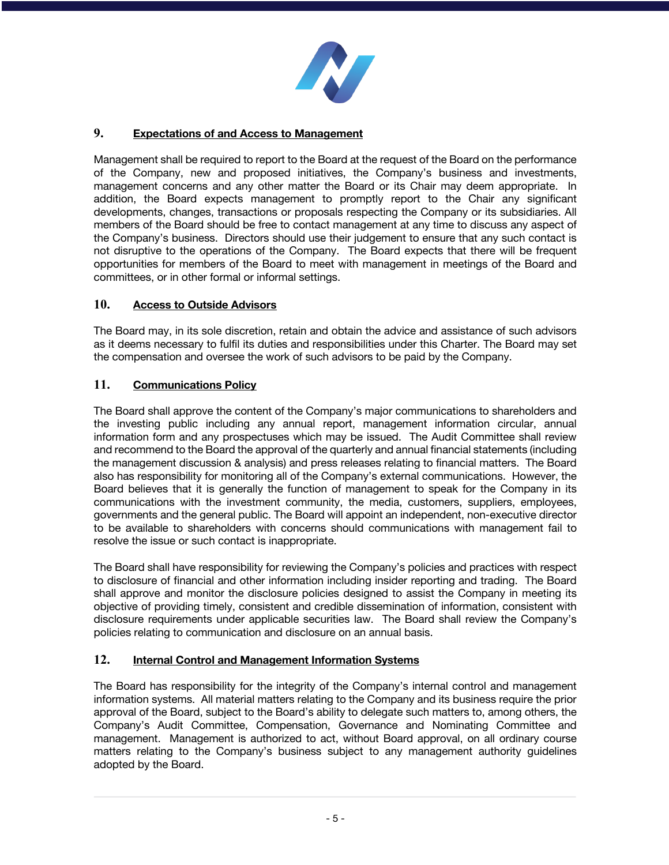

## **9. Expectations of and Access to Management**

Management shall be required to report to the Board at the request of the Board on the performance of the Company, new and proposed initiatives, the Company's business and investments, management concerns and any other matter the Board or its Chair may deem appropriate. In addition, the Board expects management to promptly report to the Chair any significant developments, changes, transactions or proposals respecting the Company or its subsidiaries. All members of the Board should be free to contact management at any time to discuss any aspect of the Company's business. Directors should use their judgement to ensure that any such contact is not disruptive to the operations of the Company. The Board expects that there will be frequent opportunities for members of the Board to meet with management in meetings of the Board and committees, or in other formal or informal settings.

## **10. Access to Outside Advisors**

The Board may, in its sole discretion, retain and obtain the advice and assistance of such advisors as it deems necessary to fulfil its duties and responsibilities under this Charter. The Board may set the compensation and oversee the work of such advisors to be paid by the Company.

#### **11. Communications Policy**

The Board shall approve the content of the Company's major communications to shareholders and the investing public including any annual report, management information circular, annual information form and any prospectuses which may be issued. The Audit Committee shall review and recommend to the Board the approval of the quarterly and annual financial statements (including the management discussion & analysis) and press releases relating to financial matters. The Board also has responsibility for monitoring all of the Company's external communications. However, the Board believes that it is generally the function of management to speak for the Company in its communications with the investment community, the media, customers, suppliers, employees, governments and the general public. The Board will appoint an independent, non-executive director to be available to shareholders with concerns should communications with management fail to resolve the issue or such contact is inappropriate.

The Board shall have responsibility for reviewing the Company's policies and practices with respect to disclosure of financial and other information including insider reporting and trading. The Board shall approve and monitor the disclosure policies designed to assist the Company in meeting its objective of providing timely, consistent and credible dissemination of information, consistent with disclosure requirements under applicable securities law. The Board shall review the Company's policies relating to communication and disclosure on an annual basis.

#### **12. Internal Control and Management Information Systems**

The Board has responsibility for the integrity of the Company's internal control and management information systems. All material matters relating to the Company and its business require the prior approval of the Board, subject to the Board's ability to delegate such matters to, among others, the Company's Audit Committee, Compensation, Governance and Nominating Committee and management. Management is authorized to act, without Board approval, on all ordinary course matters relating to the Company's business subject to any management authority guidelines adopted by the Board.